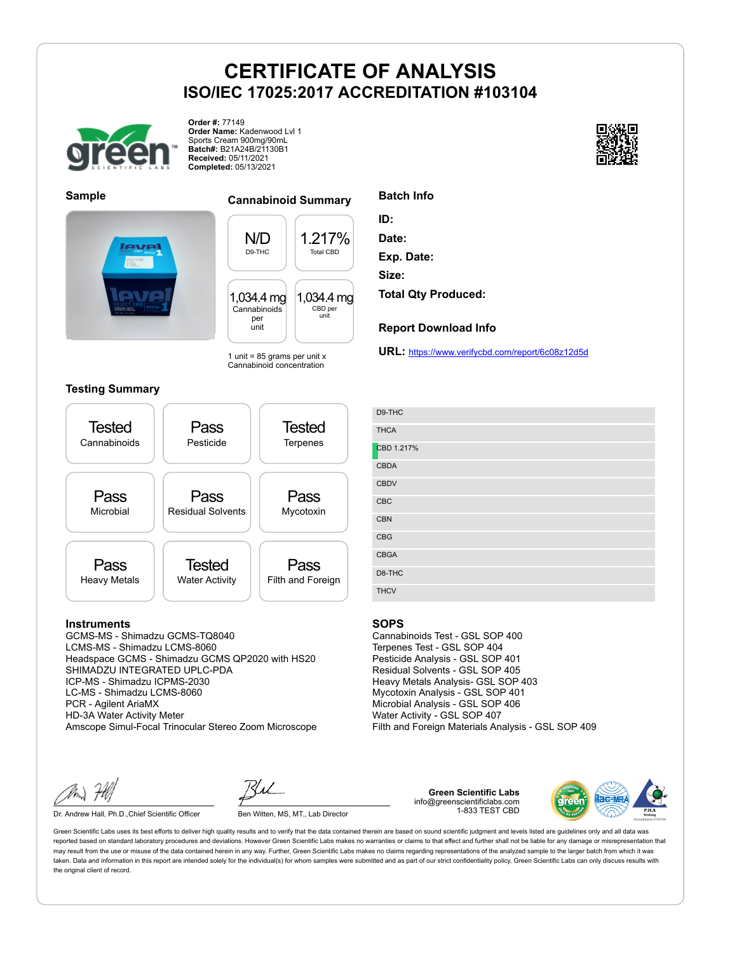

**Order #:** 77149 **Order Name:** Kadenwood Lvl 1 Sports Cream 900mg/90mL **Batch#:** B21A24B/21130B1 **Received:** 05/11/2021 **Completed:** 05/13/2021





### **Sample Cannabinoid Summary**

N/D D9-THC 1.217% Total CBD 1,034.4 mg Cannabinoids per unit 1,034.4 mg CBD per unit

1 unit =  $85$  grams per unit x Cannabinoid concentration

### **Testing Summary**



### **Instruments**

GCMS-MS - Shimadzu GCMS-TQ8040 LCMS-MS - Shimadzu LCMS-8060 Headspace GCMS - Shimadzu GCMS QP2020 with HS20 SHIMADZU INTEGRATED UPLC-PDA ICP-MS - Shimadzu ICPMS-2030 LC-MS - Shimadzu LCMS-8060 PCR - Agilent AriaMX HD-3A Water Activity Meter Amscope Simul-Focal Trinocular Stereo Zoom Microscope

Dr. Andrew Hall, Ph.D., Chief Scientific Officer Ben Witten, MS, MT., Lab Director

**Green Scientific Labs** info@greenscientificlabs.com 1-833 TEST CBD



Green Scientific Labs uses its best efforts to deliver high quality results and to verify that the data contained therein are based on sound scientific judgment and levels listed are guidelines only and all data was reported based on standard laboratory procedures and deviations. However Green Scientific Labs makes no warranties or claims to that effect and further shall not be liable for any damage or misrepresentation that may result from the use or misuse of the data contained herein in any way. Further, Green Scientific Labs makes no claims regarding representations of the analyzed sample to the larger batch from which it was taken. Data and information in this report are intended solely for the individual(s) for whom samples were submitted and as part of our strict confidentiality policy, Green Scientific Labs can only discuss results with the original client of record.



**Report Download Info**

**URL:** https://www.verifycbd.com/report/6c08z12d5d

| D9-THC      |
|-------------|
| <b>THCA</b> |
| CBD 1.217%  |
| <b>CBDA</b> |
| <b>CBDV</b> |
| CBC         |
| <b>CBN</b>  |
| <b>CBG</b>  |
| <b>CBGA</b> |
| D8-THC      |
| <b>THCV</b> |

#### **SOPS**

Cannabinoids Test - GSL SOP 400 Terpenes Test - GSL SOP 404 Pesticide Analysis - GSL SOP 401 Residual Solvents - GSL SOP 405 Heavy Metals Analysis- GSL SOP 403 Mycotoxin Analysis - GSL SOP 401 Microbial Analysis - GSL SOP 406 Water Activity - GSL SOP 407 Filth and Foreign Materials Analysis - GSL SOP 409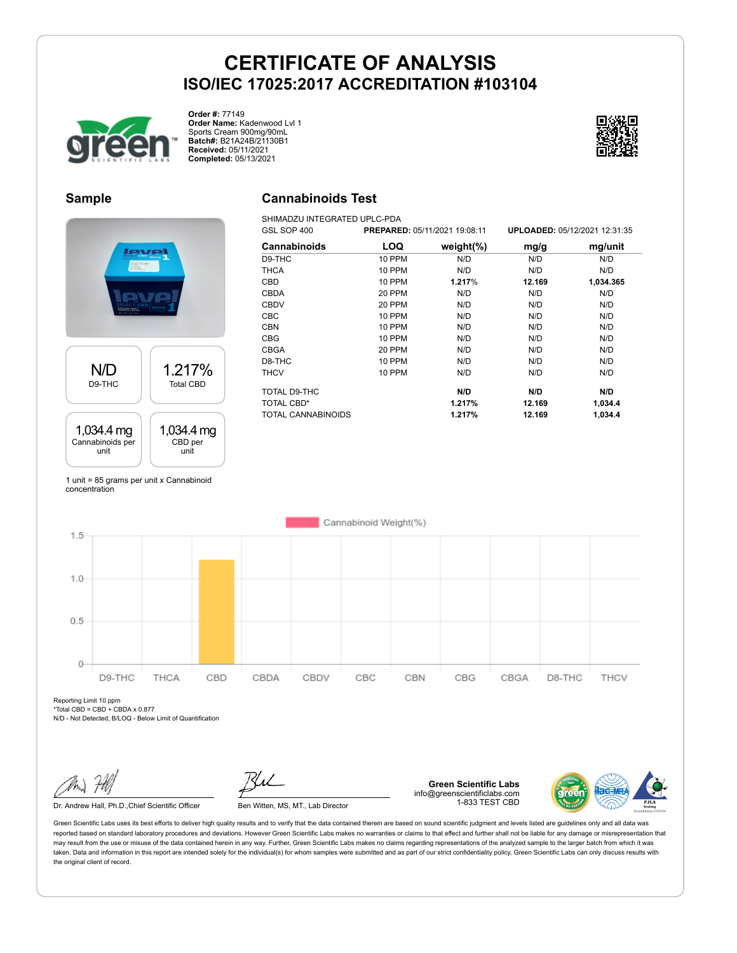**Cannabinoids Test** SHIMADZU INTEGRATED UPLC-PDA



**Order #:** 77149 **Order Name:** Kadenwood Lvl 1 Sports Cream 900mg/90mL **Batch#:** B21A24B/21130B1 **Received:** 05/11/2021 **Completed:** 05/13/2021



## **Sample**

# **PVF** N/D 1.217% D9-THC Total CBD 1,034.4 mg 1,034.4 mg Cannabinoids per CBD per unit unit

1 unit = 85 grams per unit x Cannabinoid concentration

| GSL SOP 400  |               | <b>PREPARED: 05/11/2021 19:08:11</b> |        | UPLOADED: 05/12/2021 12:31:35 |
|--------------|---------------|--------------------------------------|--------|-------------------------------|
| Cannabinoids | <b>LOQ</b>    | weight $(\%)$                        | mg/g   | mg/unit                       |
| D9-THC       | 10 PPM        | N/D                                  | N/D    | N/D                           |
| <b>THCA</b>  | <b>10 PPM</b> | N/D                                  | N/D    | N/D                           |
| CBD          | 10 PPM        | 1.217%                               | 12.169 | 1,034.365                     |
| <b>CBDA</b>  | 20 PPM        | N/D                                  | N/D    | N/D                           |
| <b>CBDV</b>  | 20 PPM        | N/D                                  | N/D    | N/D                           |
| <b>CBC</b>   | <b>10 PPM</b> | N/D                                  | N/D    | N/D                           |
| <b>CBN</b>   | <b>10 PPM</b> | N/D                                  | N/D    | N/D                           |
| <b>CBG</b>   | <b>10 PPM</b> | N/D                                  | N/D    | N/D                           |
| <b>CBGA</b>  | 20 PPM        | N/D                                  | N/D    | N/D                           |
| D8-THC       | <b>10 PPM</b> | N/D                                  | N/D    | N/D                           |
| <b>THCV</b>  | <b>10 PPM</b> | N/D                                  | N/D    | N/D                           |

TOTAL D9-THC **N/D N/D N/D** TOTAL CBD\* **1.217% 12.169 1,034.4** TOTAL CANNABINOIDS **1.217% 12.169 1,034.4**

Cannabinoid Weight(%)  $1.5$  $1.0$  $0.5$  $\circ$ D9-THC THCA CBD CBDA CBDV CBC CBN CBG CBGA D8-THC THCV

Reporting Limit 10 ppm  $*Total CBD = CBD + CBDA \times 0.877$ 

N/D - Not Detected, B/LOQ - Below Limit of Quantification

**Green Scientific Labs** info@greenscientificlabs.com 1-833 TEST CBD



Green Scientific Labs uses its best efforts to deliver high quality results and to verify that the data contained therein are based on sound scientific judgment and levels listed are guidelines only and all data was reported based on standard laboratory procedures and deviations. However Green Scientific Labs makes no warranties or claims to that effect and further shall not be liable for any damage or misrepresentation that may result from the use or misuse of the data contained herein in any way. Further, Green Scientific Labs makes no claims regarding representations of the analyzed sample to the larger batch from which it was taken. Data and information in this report are intended solely for the individual(s) for whom samples were submitted and as part of our strict confidentiality policy, Green Scientific Labs can only discuss results with the original client of record.

Dr. Andrew Hall, Ph.D., Chief Scientific Officer Ben Witten, MS, MT., Lab Director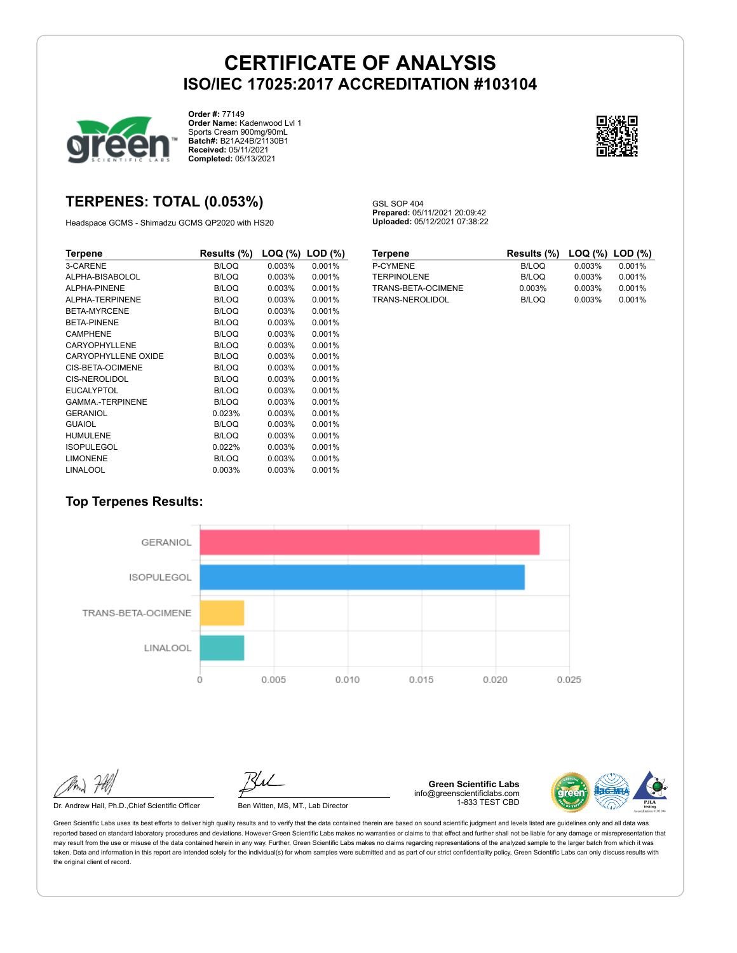GSL SOP 404

**Prepared:** 05/11/2021 20:09:42 **Uploaded:** 05/12/2021 07:38:22



**Order #:** 77149 **Order Name:** Kadenwood Lvl 1 Sports Cream 900mg/90mL **Batch#:** B21A24B/21130B1 **Received:** 05/11/2021 **Completed:** 05/13/2021



## **TERPENES: TOTAL (0.053%)**

Headspace GCMS - Shimadzu GCMS QP2020 with HS20

| Terpene                    | Results (%)  | $LOG (%)$ LOD $(\%)$ |        |
|----------------------------|--------------|----------------------|--------|
| 3-CARENE                   | <b>B/LOQ</b> | 0.003%               | 0.001% |
| ALPHA-BISABOLOL            | B/LOQ        | 0.003%               | 0.001% |
| ALPHA-PINENE               | <b>B/LOQ</b> | 0.003%               | 0.001% |
| ALPHA-TERPINENE            | B/LOQ        | 0.003%               | 0.001% |
| BETA-MYRCENE               | B/LOQ        | 0.003%               | 0.001% |
| <b>BETA-PINENE</b>         | <b>B/LOQ</b> | 0.003%               | 0.001% |
| <b>CAMPHENE</b>            | B/LOQ        | 0.003%               | 0.001% |
| CARYOPHYLLENE              | B/LOQ        | 0.003%               | 0.001% |
| <b>CARYOPHYLLENE OXIDE</b> | B/LOQ        | 0.003%               | 0.001% |
| CIS-BETA-OCIMENE           | <b>B/LOQ</b> | 0.003%               | 0.001% |
| CIS-NEROLIDOL              | B/LOQ        | 0.003%               | 0.001% |
| <b>EUCALYPTOL</b>          | B/LOQ        | 0.003%               | 0.001% |
| <b>GAMMA-TERPINENE</b>     | B/LOQ        | 0.003%               | 0.001% |
| GERANIOL                   | 0.023%       | 0.003%               | 0.001% |
| <b>GUAIOL</b>              | <b>B/LOQ</b> | 0.003%               | 0.001% |
| <b>HUMULENE</b>            | B/LOQ        | 0.003%               | 0.001% |
| <b>ISOPULEGOL</b>          | 0.022%       | 0.003%               | 0.001% |
| <b>LIMONENE</b>            | <b>B/LOQ</b> | 0.003%               | 0.001% |
| <b>LINALOOL</b>            | 0.003%       | 0.003%               | 0.001% |

| <b>Terpene</b>     | Results (%) LOQ (%) LOD (%) |        |        |
|--------------------|-----------------------------|--------|--------|
| P-CYMENE           | B/LOQ                       | 0.003% | 0.001% |
| <b>TERPINOLENE</b> | B/LOQ                       | 0.003% | 0.001% |
| TRANS-BETA-OCIMENE | 0.003%                      | 0.003% | 0.001% |
| TRANS-NEROLIDOL    | B/LOQ                       | 0.003% | 0.001% |

## **Top Terpenes Results:**



Green Scientific Labs uses its best efforts to deliver high quality results and to verify that the data contained therein are based on sound scientific judgment and levels listed are guidelines only and all data was reported based on standard laboratory procedures and deviations. However Green Scientific Labs makes no warranties or claims to that effect and further shall not be liable for any damage or misrepresentation that may result from the use or misuse of the data contained herein in any way. Further, Green Scientific Labs makes no claims regarding representations of the analyzed sample to the larger batch from which it was taken. Data and information in this report are intended solely for the individual(s) for whom samples were submitted and as part of our strict confidentiality policy, Green Scientific Labs can only discuss results with the original client of record.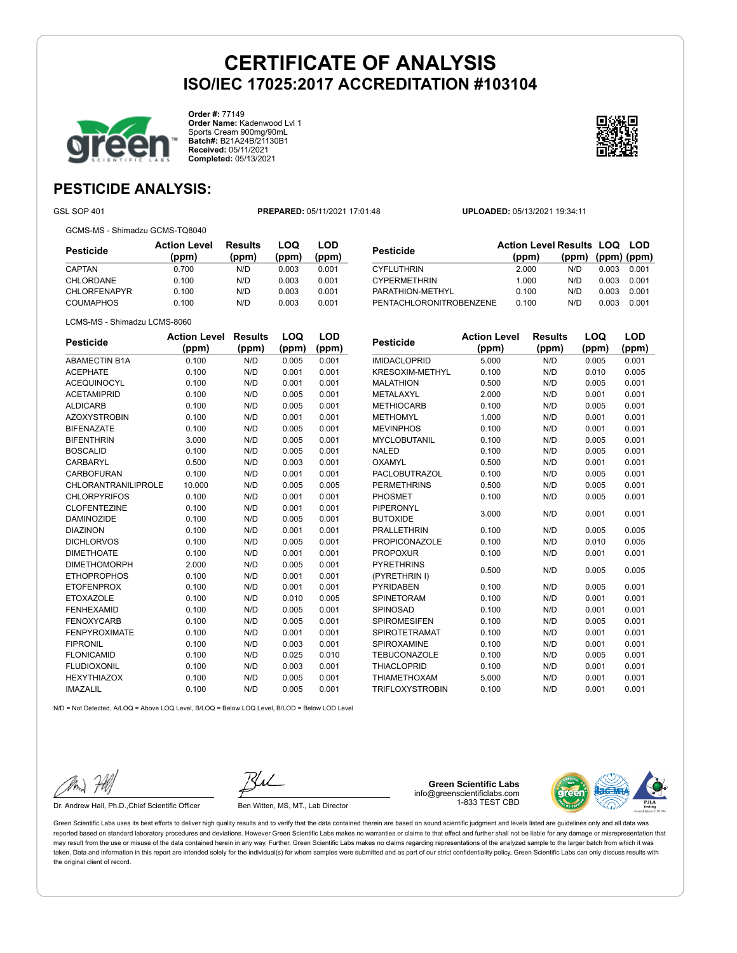

**Order #:** 77149 **Order Name:** Kadenwood Lvl 1 Sports Cream 900mg/90mL **Batch#:** B21A24B/21130B1 **Received:** 05/11/2021 **Completed:** 05/13/2021

**LOQ**

**LOD (ppm)**



## **PESTICIDE ANALYSIS:**

GSL SOP 401 **PREPARED:** 05/11/2021 17:01:48 **UPLOADED:** 05/13/2021 19:34:11

GCMS-MS - Shimadzu GCMS-TQ8040

LCMS-MS - Shimadzu LCMS-8060

**Pesticide Action Level (ppm) Results (ppm) LOQ (ppm) LOD (ppm)** CAPTAN 0.700 N/D 0.003 0.001 CHLORDANE 0.100 N/D 0.003 0.001 CHLORFENAPYR 0.100 N/D 0.003 0.001 COUMAPHOS 0.100 N/D 0.003 0.001

| <b>Pesticide</b>        | <b>Action Level Results LOQ LOD</b><br>(ppm) | (ppm) | $(ppm)$ (ppm) |       |
|-------------------------|----------------------------------------------|-------|---------------|-------|
| <b>CYFLUTHRIN</b>       | 2.000                                        | N/D   | 0.003         | 0.001 |
| <b>CYPERMETHRIN</b>     | 1.000                                        | N/D   | 0.003         | 0.001 |
| PARATHION-METHYL        | 0.100                                        | N/D   | 0.003         | 0.001 |
| PENTACHLORONITROBENZENE | 0.100                                        | N/D   | 0.003         | 0.001 |

| Pesticide            | <b>Action Level</b><br>(ppm) | <b>Results</b><br>(ppm) | LOQ<br>(ppm) | LOD<br>(ppm) |
|----------------------|------------------------------|-------------------------|--------------|--------------|
| <b>ABAMECTIN B1A</b> | 0.100                        | N/D                     | 0.005        | 0.001        |
| <b>ACEPHATE</b>      | 0.100                        | N/D                     | 0.001        | 0.001        |
| <b>ACEQUINOCYL</b>   | 0.100                        | N/D                     | 0.001        | 0.001        |
| <b>ACETAMIPRID</b>   | 0.100                        | N/D                     | 0.005        | 0.001        |
| <b>ALDICARB</b>      | 0.100                        | N/D                     | 0.005        | 0.001        |
| <b>AZOXYSTROBIN</b>  | 0.100                        | N/D                     | 0.001        | 0.001        |
| <b>BIFENAZATE</b>    | 0.100                        | N/D                     | 0.005        | 0.001        |
| <b>BIFENTHRIN</b>    | 3.000                        | N/D                     | 0.005        | 0.001        |
| <b>BOSCALID</b>      | 0.100                        | N/D                     | 0.005        | 0.001        |
| <b>CARBARYL</b>      | 0.500                        | N/D                     | 0.003        | 0.001        |
| <b>CARBOFURAN</b>    | 0.100                        | N/D                     | 0.001        | 0.001        |
| CHLORANTRANILIPROLE  | 10.000                       | N/D                     | 0.005        | 0.005        |
| <b>CHLORPYRIFOS</b>  | 0.100                        | N/D                     | 0.001        | 0.001        |
| <b>CLOFENTEZINE</b>  | 0.100                        | N/D                     | 0.001        | 0.001        |
| <b>DAMINOZIDE</b>    | 0.100                        | N/D                     | 0.005        | 0.001        |
| <b>DIAZINON</b>      | 0.100                        | N/D                     | 0.001        | 0.001        |
| <b>DICHLORVOS</b>    | 0.100                        | N/D                     | 0.005        | 0.001        |
| <b>DIMETHOATE</b>    | 0.100                        | N/D                     | 0.001        | 0.001        |

| Pesticide              | <b>Action Level</b> | <b>Results</b> | LOQ   | LOD   |
|------------------------|---------------------|----------------|-------|-------|
|                        | (ppm)               | (ppm)          | (ppm) | (ppm) |
| <b>IMIDACLOPRID</b>    | 5.000               | N/D            | 0.005 | 0.001 |
| <b>KRESOXIM-METHYL</b> | 0.100               | N/D            | 0.010 | 0.005 |
| <b>MALATHION</b>       | 0.500               | N/D            | 0.005 | 0.001 |
| METALAXYL              | 2.000               | N/D            | 0.001 | 0.001 |
| <b>METHIOCARB</b>      | 0.100               | N/D            | 0.005 | 0.001 |
| <b>METHOMYL</b>        | 1.000               | N/D            | 0.001 | 0.001 |
| <b>MEVINPHOS</b>       | 0.100               | N/D            | 0.001 | 0.001 |
| <b>MYCLOBUTANIL</b>    | 0.100               | N/D            | 0.005 | 0.001 |
| <b>NALED</b>           | 0.100               | N/D            | 0.005 | 0.001 |
| OXAMYL                 | 0.500               | N/D            | 0.001 | 0.001 |
| <b>PACLOBUTRAZOL</b>   | 0.100               | N/D            | 0.005 | 0.001 |
| <b>PERMETHRINS</b>     | 0.500               | N/D            | 0.005 | 0.001 |
| <b>PHOSMET</b>         | 0.100               | N/D            | 0.005 | 0.001 |
| PIPERONYL              |                     | N/D            |       |       |
| <b>BUTOXIDE</b>        | 3.000               |                | 0.001 | 0.001 |
| <b>PRALLETHRIN</b>     | 0.100               | N/D            | 0.005 | 0.005 |
| <b>PROPICONAZOLE</b>   | 0.100               | N/D            | 0.010 | 0.005 |
| <b>PROPOXUR</b>        | 0.100               | N/D            | 0.001 | 0.001 |
| <b>PYRETHRINS</b>      | 0.500               | N/D            | 0.005 | 0.005 |
| (PYRETHRIN I)          |                     |                |       |       |
| <b>PYRIDABEN</b>       | 0.100               | N/D            | 0.005 | 0.001 |
| SPINETORAM             | 0.100               | N/D            | 0.001 | 0.001 |
| SPINOSAD               | 0.100               | N/D            | 0.001 | 0.001 |
| <b>SPIROMESIFEN</b>    | 0.100               | N/D            | 0.005 | 0.001 |
| <b>SPIROTETRAMAT</b>   | 0.100               | N/D            | 0.001 | 0.001 |
| SPIROXAMINE            | 0.100               | N/D            | 0.001 | 0.001 |
| <b>TEBUCONAZOLE</b>    | 0.100               | N/D            | 0.005 | 0.001 |
| <b>THIACLOPRID</b>     | 0.100               | N/D            | 0.001 | 0.001 |
| <b>THIAMETHOXAM</b>    | 5.000               | N/D            | 0.001 | 0.001 |
| <b>TRIFLOXYSTROBIN</b> | 0.100               | N/D            | 0.001 | 0.001 |

N/D = Not Detected, A/LOQ = Above LOQ Level, B/LOQ = Below LOQ Level, B/LOD = Below LOD Level IMAZALIL 0.100 N/D 0.005 0.001

DIMETHOMORPH 2.000 N/D 0.005 0.001 ETHOPROPHOS 0.100 N/D 0.001 0.001 ETOFENPROX 0.100 N/D 0.001 0.001 ETOXAZOLE 0.100 N/D 0.010 0.005 FENHEXAMID 0.100 N/D 0.005 0.001 FENOXYCARB 0.100 N/D 0.005 0.001 FENPYROXIMATE 0.100 N/D 0.001 0.001 FIPRONIL 0.100 N/D 0.003 0.001 FLONICAMID 0.100 N/D 0.025 0.010 FLUDIOXONIL 0.100 N/D 0.003 0.001 HEXYTHIAZOX 0.100 N/D 0.005 0.001

| $\mathscr{W}_{m}$ | FAN |
|-------------------|-----|
|                   |     |

Dr. Andrew Hall, Ph.D.,Chief Scientific Officer Ben Witten, MS, MT., Lab Director

**Green Scientific Labs** info@greenscientificlabs.com 1-833 TEST CBD



Green Scientific Labs uses its best efforts to deliver high quality results and to verify that the data contained therein are based on sound scientific judgment and levels listed are guidelines only and all data was reported based on standard laboratory procedures and deviations. However Green Scientific Labs makes no warranties or claims to that effect and further shall not be liable for any damage or misrepresentation that may result from the use or misuse of the data contained herein in any way. Further, Green Scientific Labs makes no claims regarding representations of the analyzed sample to the larger batch from which it was taken. Data and information in this report are intended solely for the individual(s) for whom samples were submitted and as part of our strict confidentiality policy. Green Scientific Labs can only discuss results with the original client of record.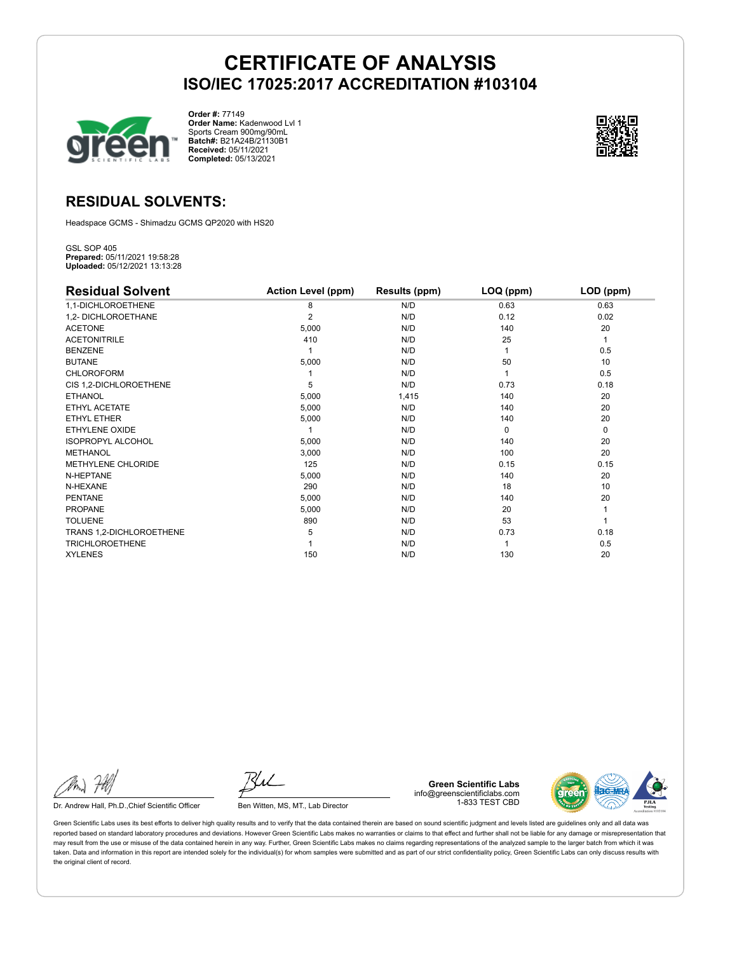

**Order #:** 77149 **Order Name:** Kadenwood Lvl 1 Sports Cream 900mg/90mL **Batch#:** B21A24B/21130B1 **Received:** 05/11/2021 **Completed:** 05/13/2021



## **RESIDUAL SOLVENTS:**

Headspace GCMS - Shimadzu GCMS QP2020 with HS20

GSL SOP 405 **Prepared:** 05/11/2021 19:58:28 **Uploaded:** 05/12/2021 13:13:28

| <b>Residual Solvent</b>   | <b>Action Level (ppm)</b> | Results (ppm) | $LOQ$ (ppm) | LOD (ppm) |
|---------------------------|---------------------------|---------------|-------------|-----------|
| 1,1-DICHLOROETHENE        | 8                         | N/D           | 0.63        | 0.63      |
| 1,2- DICHLOROETHANE       | 2                         | N/D           | 0.12        | 0.02      |
| <b>ACETONE</b>            | 5,000                     | N/D           | 140         | 20        |
| <b>ACETONITRILE</b>       | 410                       | N/D           | 25          | 1         |
| <b>BENZENE</b>            |                           | N/D           |             | 0.5       |
| <b>BUTANE</b>             | 5,000                     | N/D           | 50          | 10        |
| <b>CHLOROFORM</b>         |                           | N/D           |             | 0.5       |
| CIS 1,2-DICHLOROETHENE    | 5                         | N/D           | 0.73        | 0.18      |
| <b>ETHANOL</b>            | 5,000                     | 1,415         | 140         | 20        |
| ETHYL ACETATE             | 5,000                     | N/D           | 140         | 20        |
| ETHYL ETHER               | 5,000                     | N/D           | 140         | 20        |
| <b>ETHYLENE OXIDE</b>     |                           | N/D           | $\Omega$    | 0         |
| <b>ISOPROPYL ALCOHOL</b>  | 5,000                     | N/D           | 140         | 20        |
| <b>METHANOL</b>           | 3,000                     | N/D           | 100         | 20        |
| <b>METHYLENE CHLORIDE</b> | 125                       | N/D           | 0.15        | 0.15      |
| N-HEPTANE                 | 5,000                     | N/D           | 140         | 20        |
| N-HEXANE                  | 290                       | N/D           | 18          | 10        |
| <b>PENTANE</b>            | 5,000                     | N/D           | 140         | 20        |
| <b>PROPANE</b>            | 5,000                     | N/D           | 20          |           |
| <b>TOLUENE</b>            | 890                       | N/D           | 53          |           |
| TRANS 1,2-DICHLOROETHENE  | 5                         | N/D           | 0.73        | 0.18      |
| <b>TRICHLOROETHENE</b>    |                           | N/D           |             | 0.5       |
| <b>XYLENES</b>            | 150                       | N/D           | 130         | 20        |

Dr. Andrew Hall, Ph.D., Chief Scientific Officer Ben Witten, MS, MT., Lab Director

**Green Scientific Labs** info@greenscientificlabs.com 1-833 TEST CBD



Green Scientific Labs uses its best efforts to deliver high quality results and to verify that the data contained therein are based on sound scientific judgment and levels listed are guidelines only and all data was reported based on standard laboratory procedures and deviations. However Green Scientific Labs makes no warranties or claims to that effect and further shall not be liable for any damage or misrepresentation that may result from the use or misuse of the data contained herein in any way. Further, Green Scientific Labs makes no claims regarding representations of the analyzed sample to the larger batch from which it was taken. Data and information in this report are intended solely for the individual(s) for whom samples were submitted and as part of our strict confidentiality policy, Green Scientific Labs can only discuss results with the original client of record.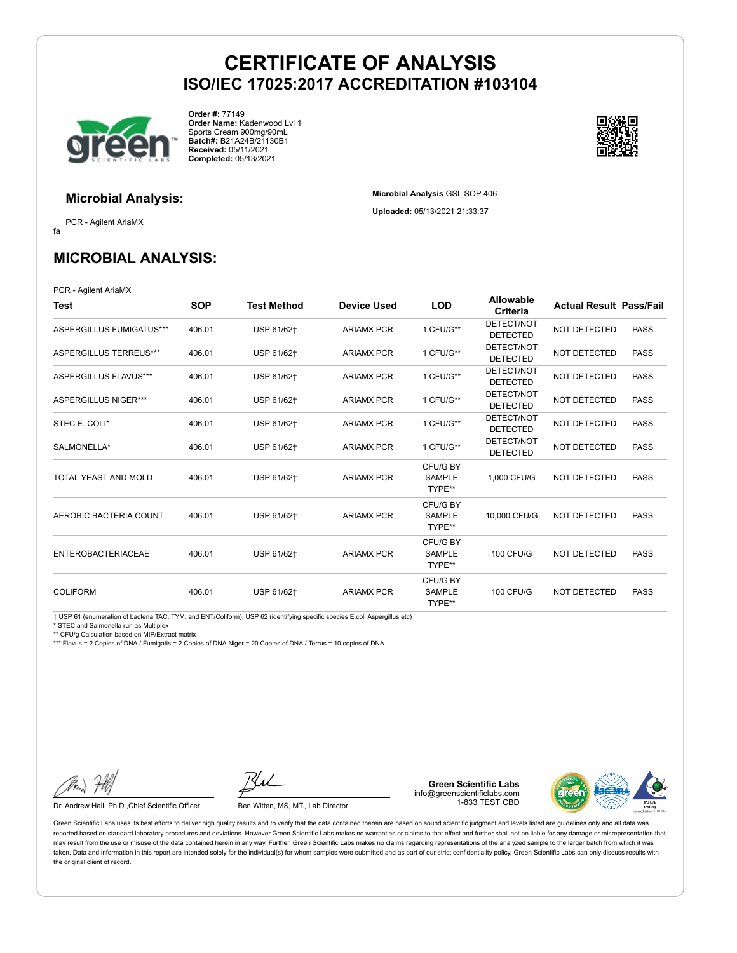**Microbial Analysis** GSL SOP 406 **Uploaded:** 05/13/2021 21:33:37



**Order #:** 77149 **Order Name:** Kadenwood Lvl 1 Sports Cream 900mg/90mL **Batch#:** B21A24B/21130B1 **Received:** 05/11/2021 **Completed:** 05/13/2021



### **Microbial Analysis:**

fa PCR - Agilent AriaMX

**MICROBIAL ANALYSIS:**

PCR - Agilent AriaMX

| Test                        | <b>SOP</b> | Test Method | <b>Device Used</b> | <b>LOD</b>                          | <b>Allowable</b><br>Criteria  | <b>Actual Result Pass/Fail</b> |             |
|-----------------------------|------------|-------------|--------------------|-------------------------------------|-------------------------------|--------------------------------|-------------|
| ASPERGILLUS FUMIGATUS***    | 406.01     | USP 61/62+  | <b>ARIAMX PCR</b>  | 1 CFU/G**                           | DETECT/NOT<br><b>DETECTED</b> | <b>NOT DETECTED</b>            | <b>PASS</b> |
| ASPERGILLUS TERREUS***      | 406.01     | USP 61/62+  | <b>ARIAMX PCR</b>  | 1 CFU/G**                           | DETECT/NOT<br><b>DETECTED</b> | NOT DETECTED                   | <b>PASS</b> |
| ASPERGILLUS FLAVUS***       | 406.01     | USP 61/62+  | <b>ARIAMX PCR</b>  | 1 CFU/G**                           | DETECT/NOT<br><b>DETECTED</b> | NOT DETECTED                   | <b>PASS</b> |
| <b>ASPERGILLUS NIGER***</b> | 406.01     | USP 61/62+  | <b>ARIAMX PCR</b>  | 1 CFU/G**                           | DETECT/NOT<br><b>DETECTED</b> | NOT DETECTED                   | <b>PASS</b> |
| STEC E. COLI*               | 406.01     | USP 61/62†  | <b>ARIAMX PCR</b>  | 1 CFU/G**                           | DETECT/NOT<br><b>DETECTED</b> | NOT DETECTED                   | <b>PASS</b> |
| SALMONELLA*                 | 406.01     | USP 61/62+  | <b>ARIAMX PCR</b>  | 1 CFU/G**                           | DETECT/NOT<br><b>DETECTED</b> | <b>NOT DETECTED</b>            | <b>PASS</b> |
| TOTAL YEAST AND MOLD        | 406.01     | USP 61/62+  | <b>ARIAMX PCR</b>  | CFU/G BY<br><b>SAMPLE</b><br>TYPE** | 1.000 CFU/G                   | <b>NOT DETECTED</b>            | <b>PASS</b> |
| AEROBIC BACTERIA COUNT      | 406.01     | USP 61/62+  | <b>ARIAMX PCR</b>  | CFU/G BY<br><b>SAMPLE</b><br>TYPE** | 10,000 CFU/G                  | NOT DETECTED                   | <b>PASS</b> |
| <b>ENTEROBACTERIACEAE</b>   | 406.01     | USP 61/62+  | <b>ARIAMX PCR</b>  | CFU/G BY<br><b>SAMPLE</b><br>TYPE** | <b>100 CFU/G</b>              | NOT DETECTED                   | <b>PASS</b> |
| <b>COLIFORM</b>             | 406.01     | USP 61/62+  | <b>ARIAMX PCR</b>  | CFU/G BY<br><b>SAMPLE</b><br>TYPE** | <b>100 CFU/G</b>              | NOT DETECTED                   | <b>PASS</b> |

† USP 61 (enumeration of bacteria TAC, TYM, and ENT/Coliform), USP 62 (identifying specific species E.coli Aspergillus etc)

\* STEC and Salmonella run as Multiplex

\*\* CFU/g Calculation based on MIP/Extract matrix

\*\*\* Flavus = 2 Copies of DNA / Fumigatis = 2 Copies of DNA Niger = 20 Copies of DNA / Terrus = 10 copies of DNA

Dr. Andrew Hall, Ph.D., Chief Scientific Officer Ben Witten, MS, MT., Lab Director

**Green Scientific Labs** info@greenscientificlabs.com 1-833 TEST CBD



Green Scientific Labs uses its best efforts to deliver high quality results and to verify that the data contained therein are based on sound scientific judgment and levels listed are guidelines only and all data was reported based on standard laboratory procedures and deviations. However Green Scientific Labs makes no warranties or claims to that effect and further shall not be liable for any damage or misrepresentation that may result from the use or misuse of the data contained herein in any way. Further, Green Scientific Labs makes no claims regarding representations of the analyzed sample to the larger batch from which it was taken. Data and information in this report are intended solely for the individual(s) for whom samples were submitted and as part of our strict confidentiality policy, Green Scientific Labs can only discuss results with the original client of record.